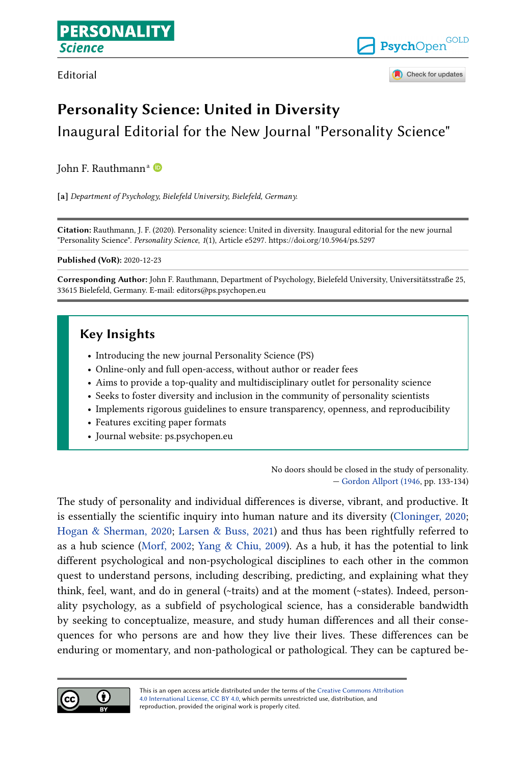Editorial



Check for updates

# **Personality Science: United in Diversity**

Inaugural Editorial for the New Journal "Personality Science"

John F. R[a](https://orcid.org/0000-0001-6115-3092)uthmann<sup>a</sup>

**[a]** *Department of Psychology, Bielefeld University, Bielefeld, Germany.*

**Citation:** Rauthmann, J. F. (2020). Personality science: United in diversity. Inaugural editorial for the new journal "Personality Science". *Personality Science*, *1*(1), Article e5297. https://doi.org/10.5964/ps.5297

**Published (VoR):** 2020-12-23

**Corresponding Author:** John F. Rauthmann, Department of Psychology, Bielefeld University, Universitätsstraße 25, 33615 Bielefeld, Germany. E-mail: editors@ps.psychopen.eu

# **Key Insights**

- **•** Introducing the new journal Personality Science (PS)
- **•** Online-only and full open-access, without author or reader fees
- **•** Aims to provide a top-quality and multidisciplinary outlet for personality science
- **•** Seeks to foster diversity and inclusion in the community of personality scientists
- **•** Implements rigorous guidelines to ensure transparency, openness, and reproducibility
- **•** Features exciting paper formats
- **•** Journal website: ps.psychopen.eu

No doors should be closed in the study of personality. — [Gordon Allport \(1946,](#page-18-0) pp. 133-134)

The study of personality and individual differences is diverse, vibrant, and productive. It is essentially the scientific inquiry into human nature and its diversity [\(Cloninger, 2020;](#page-19-0) [Hogan & Sherman, 2020](#page-20-0); [Larsen & Buss, 2021\)](#page-21-0) and thus has been rightfully referred to as a hub science [\(Morf, 2002;](#page-22-0) Yang  $\&$  Chiu, 2009). As a hub, it has the potential to link different psychological and non-psychological disciplines to each other in the common quest to understand persons, including describing, predicting, and explaining what they think, feel, want, and do in general (~traits) and at the moment (~states). Indeed, person‐ ality psychology, as a subfield of psychological science, has a considerable bandwidth by seeking to conceptualize, measure, and study human differences and all their consequences for who persons are and how they live their lives. These differences can be enduring or momentary, and non-pathological or pathological. They can be captured be‐

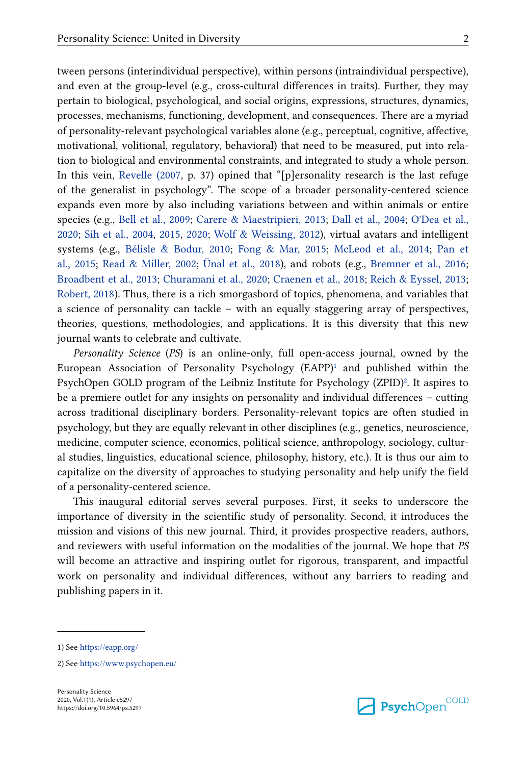tween persons (interindividual perspective), within persons (intraindividual perspective), and even at the group-level (e.g., cross-cultural differences in traits). Further, they may pertain to biological, psychological, and social origins, expressions, structures, dynamics, processes, mechanisms, functioning, development, and consequences. There are a myriad of personality-relevant psychological variables alone (e.g., perceptual, cognitive, affective, motivational, volitional, regulatory, behavioral) that need to be measured, put into rela‐ tion to biological and environmental constraints, and integrated to study a whole person. In this vein, [Revelle \(2007,](#page-23-0) p. 37) opined that "[p]ersonality research is the last refuge of the generalist in psychology". The scope of a broader personality-centered science expands even more by also including variations between and within animals or entire species (e.g., [Bell et al., 2009](#page-18-0); [Carere & Maestripieri, 2013;](#page-19-0) [Dall et al., 2004](#page-19-0); [O'Dea et al.,](#page-22-0) [2020;](#page-22-0) [Sih et al., 2004](#page-23-0), [2015,](#page-23-0) [2020;](#page-23-0) [Wolf & Weissing, 2012\)](#page-24-0), virtual avatars and intelligent systems (e.g., [Bélisle & Bodur, 2010;](#page-18-0) [Fong & Mar, 2015](#page-20-0); [McLeod et al., 2014](#page-22-0); [Pan et](#page-22-0) [al., 2015](#page-22-0); [Read & Miller, 2002;](#page-22-0) [Ünal et al., 2018](#page-24-0)), and robots (e.g., [Bremner et al., 2016;](#page-19-0) [Broadbent et al., 2013;](#page-19-0) [Churamani et al., 2020;](#page-19-0) [Craenen et al., 2018](#page-19-0); [Reich & Eyssel, 2013;](#page-22-0) [Robert, 2018\)](#page-23-0). Thus, there is a rich smorgasbord of topics, phenomena, and variables that a science of personality can tackle – with an equally staggering array of perspectives, theories, questions, methodologies, and applications. It is this diversity that this new journal wants to celebrate and cultivate.

*Personality Science* (*PS*) is an online-only, full open-access journal, owned by the European Association of Personality Psychology  $(EAPP)^1$  and published within the PsychOpen GOLD program of the Leibniz Institute for Psychology (ZPID)<sup>2</sup>. It aspires to be a premiere outlet for any insights on personality and individual differences – cutting across traditional disciplinary borders. Personality-relevant topics are often studied in psychology, but they are equally relevant in other disciplines (e.g., genetics, neuroscience, medicine, computer science, economics, political science, anthropology, sociology, cultural studies, linguistics, educational science, philosophy, history, etc.). It is thus our aim to capitalize on the diversity of approaches to studying personality and help unify the field of a personality-centered science.

This inaugural editorial serves several purposes. First, it seeks to underscore the importance of diversity in the scientific study of personality. Second, it introduces the mission and visions of this new journal. Third, it provides prospective readers, authors, and reviewers with useful information on the modalities of the journal. We hope that *PS* will become an attractive and inspiring outlet for rigorous, transparent, and impactful work on personality and individual differences, without any barriers to reading and publishing papers in it.



<sup>1)</sup> See<https://eapp.org/>

<sup>2)</sup> See<https://www.psychopen.eu/>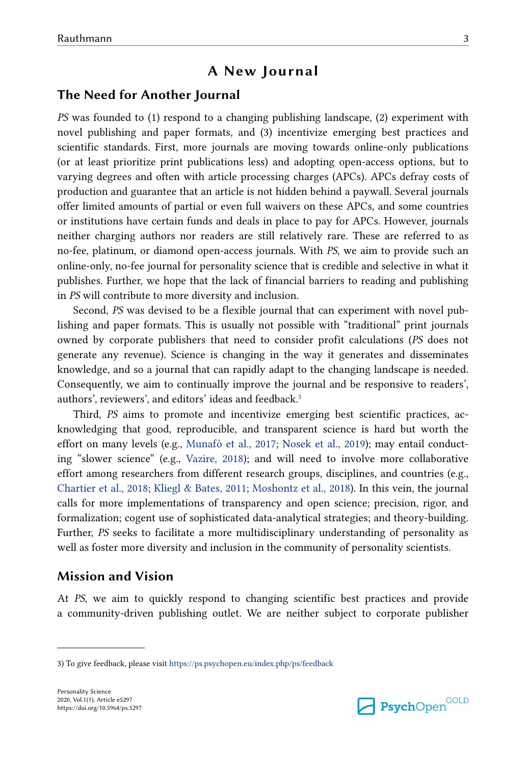### **A New Journal**

### **The Need for Another Journal**

*PS* was founded to (1) respond to a changing publishing landscape, (2) experiment with novel publishing and paper formats, and (3) incentivize emerging best practices and scientific standards. First, more journals are moving towards online-only publications (or at least prioritize print publications less) and adopting open-access options, but to varying degrees and often with article processing charges (APCs). APCs defray costs of production and guarantee that an article is not hidden behind a paywall. Several journals offer limited amounts of partial or even full waivers on these APCs, and some countries or institutions have certain funds and deals in place to pay for APCs. However, journals neither charging authors nor readers are still relatively rare. These are referred to as no-fee, platinum, or diamond open-access journals. With *PS*, we aim to provide such an online-only, no-fee journal for personality science that is credible and selective in what it publishes. Further, we hope that the lack of financial barriers to reading and publishing in *PS* will contribute to more diversity and inclusion.

Second, *PS* was devised to be a flexible journal that can experiment with novel pub‐ lishing and paper formats. This is usually not possible with "traditional" print journals owned by corporate publishers that need to consider profit calculations (*PS* does not generate any revenue). Science is changing in the way it generates and disseminates knowledge, and so a journal that can rapidly adapt to the changing landscape is needed. Consequently, we aim to continually improve the journal and be responsive to readers', authors', reviewers', and editors' ideas and feedback.<sup>3</sup>

Third, *PS* aims to promote and incentivize emerging best scientific practices, ac‐ knowledging that good, reproducible, and transparent science is hard but worth the effort on many levels (e.g., [Munafò et al., 2017;](#page-22-0) [Nosek et al., 2019\)](#page-22-0); may entail conducting "slower science" (e.g., [Vazire, 2018\)](#page-24-0); and will need to involve more collaborative effort among researchers from different research groups, disciplines, and countries (e.g., [Chartier et al., 2018;](#page-19-0) [Kliegl & Bates, 2011](#page-21-0); [Moshontz et al., 2018\)](#page-22-0). In this vein, the journal calls for more implementations of transparency and open science; precision, rigor, and formalization; cogent use of sophisticated data-analytical strategies; and theory-building. Further, *PS* seeks to facilitate a more multidisciplinary understanding of personality as well as foster more diversity and inclusion in the community of personality scientists.

### **Mission and Vision**

At *PS*, we aim to quickly respond to changing scientific best practices and provide a community-driven publishing outlet. We are neither subject to corporate publisher



<sup>3)</sup> To give feedback, please visit <https://ps.psychopen.eu/index.php/ps/feedback>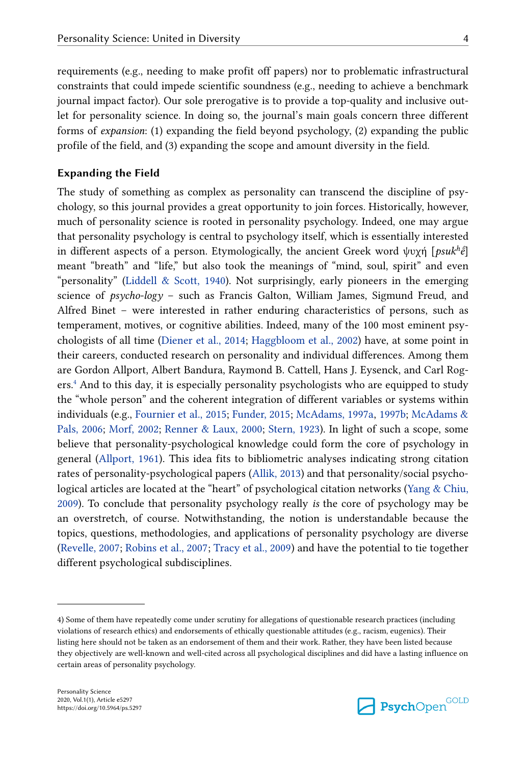requirements (e.g., needing to make profit off papers) nor to problematic infrastructural constraints that could impede scientific soundness (e.g., needing to achieve a benchmark journal impact factor). Our sole prerogative is to provide a top-quality and inclusive out‐ let for personality science. In doing so, the journal's main goals concern three different forms of *expansion*: (1) expanding the field beyond psychology, (2) expanding the public profile of the field, and (3) expanding the scope and amount diversity in the field.

#### **Expanding the Field**

The study of something as complex as personality can transcend the discipline of psychology, so this journal provides a great opportunity to join forces. Historically, however, much of personality science is rooted in personality psychology. Indeed, one may argue that personality psychology is central to psychology itself, which is essentially interested in different aspects of a person. Etymologically, the ancient Greek word ψυχή [*psuk<sup>h</sup> ḗ*] meant "breath" and "life," but also took the meanings of "mind, soul, spirit" and even "personality" (Liddell  $\&$  Scott, 1940). Not surprisingly, early pioneers in the emerging science of *psycho-logy* – such as Francis Galton, William James, Sigmund Freud, and Alfred Binet – were interested in rather enduring characteristics of persons, such as temperament, motives, or cognitive abilities. Indeed, many of the 100 most eminent psychologists of all time ([Diener et al., 2014](#page-20-0); [Haggbloom et al., 2002](#page-20-0)) have, at some point in their careers, conducted research on personality and individual differences. Among them are Gordon Allport, Albert Bandura, Raymond B. Cattell, Hans J. Eysenck, and Carl Rog‐ ers.<sup>4</sup> And to this day, it is especially personality psychologists who are equipped to study the "whole person" and the coherent integration of different variables or systems within individuals (e.g., [Fournier et al., 2015;](#page-20-0) [Funder, 2015;](#page-20-0) [McAdams, 1997a,](#page-21-0) [1997b](#page-21-0); [McAdams &](#page-21-0) [Pals, 2006](#page-21-0); [Morf, 2002](#page-22-0); [Renner & Laux, 2000](#page-23-0); [Stern, 1923\)](#page-24-0). In light of such a scope, some believe that personality-psychological knowledge could form the core of psychology in general ([Allport, 1961\)](#page-18-0). This idea fits to bibliometric analyses indicating strong citation rates of personality-psychological papers [\(Allik, 2013\)](#page-18-0) and that personality/social psychological articles are located at the "heart" of psychological citation networks ([Yang & Chiu,](#page-24-0) [2009\)](#page-24-0). To conclude that personality psychology really *is* the core of psychology may be an overstretch, of course. Notwithstanding, the notion is understandable because the topics, questions, methodologies, and applications of personality psychology are diverse [\(Revelle, 2007;](#page-23-0) [Robins et al., 2007](#page-23-0); [Tracy et al., 2009](#page-24-0)) and have the potential to tie together different psychological subdisciplines.



<sup>4)</sup> Some of them have repeatedly come under scrutiny for allegations of questionable research practices (including violations of research ethics) and endorsements of ethically questionable attitudes (e.g., racism, eugenics). Their listing here should not be taken as an endorsement of them and their work. Rather, they have been listed because they objectively are well-known and well-cited across all psychological disciplines and did have a lasting influence on certain areas of personality psychology.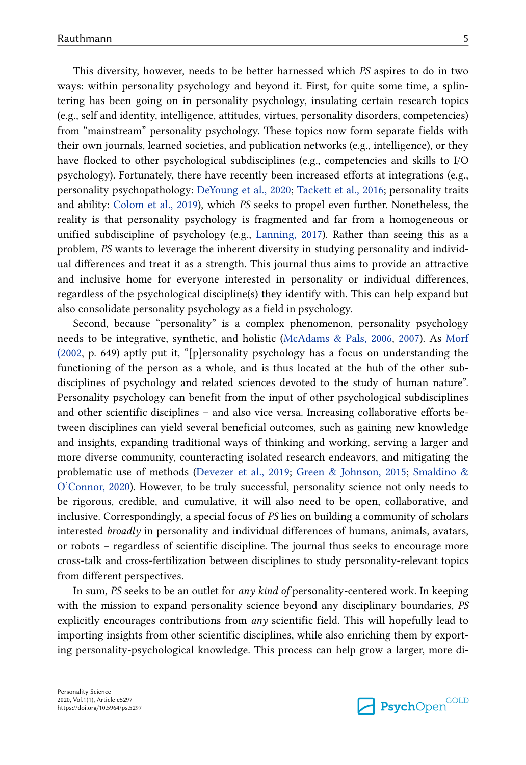This diversity, however, needs to be better harnessed which *PS* aspires to do in two ways: within personality psychology and beyond it. First, for quite some time, a splintering has been going on in personality psychology, insulating certain research topics (e.g., self and identity, intelligence, attitudes, virtues, personality disorders, competencies) from "mainstream" personality psychology. These topics now form separate fields with their own journals, learned societies, and publication networks (e.g., intelligence), or they have flocked to other psychological subdisciplines (e.g., competencies and skills to I/O psychology). Fortunately, there have recently been increased efforts at integrations (e.g., personality psychopathology: [DeYoung et al., 2020;](#page-19-0) [Tackett et al., 2016](#page-24-0); personality traits and ability: [Colom et al., 2019\)](#page-19-0), which *PS* seeks to propel even further. Nonetheless, the reality is that personality psychology is fragmented and far from a homogeneous or unified subdiscipline of psychology (e.g., [Lanning, 2017\)](#page-21-0). Rather than seeing this as a problem, *PS* wants to leverage the inherent diversity in studying personality and individual differences and treat it as a strength. This journal thus aims to provide an attractive and inclusive home for everyone interested in personality or individual differences, regardless of the psychological discipline(s) they identify with. This can help expand but also consolidate personality psychology as a field in psychology.

Second, because "personality" is a complex phenomenon, personality psychology needs to be integrative, synthetic, and holistic [\(McAdams & Pals, 2006,](#page-21-0) [2007](#page-21-0)). As [Morf](#page-22-0) [\(2002,](#page-22-0) p. 649) aptly put it, "[p]ersonality psychology has a focus on understanding the functioning of the person as a whole, and is thus located at the hub of the other subdisciplines of psychology and related sciences devoted to the study of human nature". Personality psychology can benefit from the input of other psychological subdisciplines and other scientific disciplines – and also vice versa. Increasing collaborative efforts between disciplines can yield several beneficial outcomes, such as gaining new knowledge and insights, expanding traditional ways of thinking and working, serving a larger and more diverse community, counteracting isolated research endeavors, and mitigating the problematic use of methods ([Devezer et al., 2019;](#page-19-0) [Green & Johnson, 2015;](#page-20-0) [Smaldino &](#page-23-0) [O'Connor, 2020](#page-23-0)). However, to be truly successful, personality science not only needs to be rigorous, credible, and cumulative, it will also need to be open, collaborative, and inclusive. Correspondingly, a special focus of *PS* lies on building a community of scholars interested *broadly* in personality and individual differences of humans, animals, avatars, or robots – regardless of scientific discipline. The journal thus seeks to encourage more cross-talk and cross-fertilization between disciplines to study personality-relevant topics from different perspectives.

In sum, *PS* seeks to be an outlet for *any kind of* personality-centered work. In keeping with the mission to expand personality science beyond any disciplinary boundaries, *PS* explicitly encourages contributions from *any* scientific field. This will hopefully lead to importing insights from other scientific disciplines, while also enriching them by export‐ ing personality-psychological knowledge. This process can help grow a larger, more di-

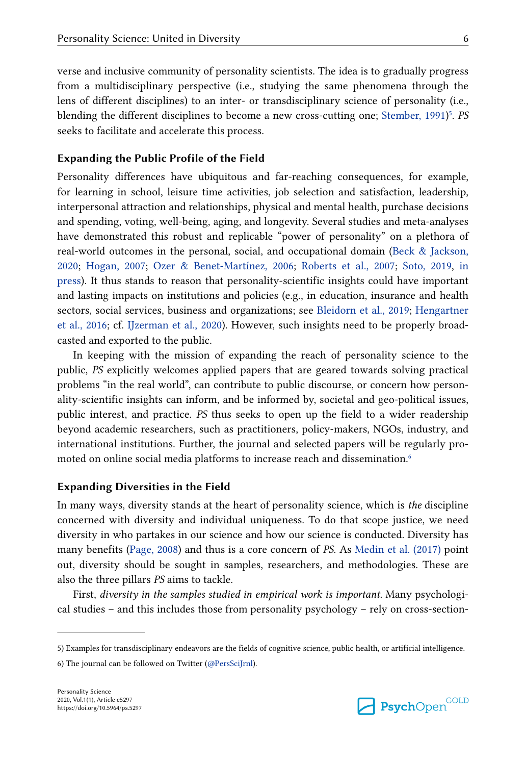verse and inclusive community of personality scientists. The idea is to gradually progress from a multidisciplinary perspective (i.e., studying the same phenomena through the lens of different disciplines) to an inter- or transdisciplinary science of personality (i.e., blending the different disciplines to become a new cross-cutting one; [Stember, 1991](#page-24-0))<sup>5</sup>. *PS* seeks to facilitate and accelerate this process.

#### **Expanding the Public Profile of the Field**

Personality differences have ubiquitous and far-reaching consequences, for example, for learning in school, leisure time activities, job selection and satisfaction, leadership, interpersonal attraction and relationships, physical and mental health, purchase decisions and spending, voting, well-being, aging, and longevity. Several studies and meta-analyses have demonstrated this robust and replicable "power of personality" on a plethora of real-world outcomes in the personal, social, and occupational domain [\(Beck & Jackson,](#page-18-0) [2020;](#page-18-0) [Hogan, 2007](#page-20-0); [Ozer & Benet-Martínez, 2006](#page-22-0); [Roberts et al., 2007](#page-23-0); [Soto, 2019,](#page-23-0) [in](#page-23-0) [press](#page-23-0)). It thus stands to reason that personality-scientific insights could have important and lasting impacts on institutions and policies (e.g., in education, insurance and health sectors, social services, business and organizations; see [Bleidorn et al., 2019](#page-19-0); [Hengartner](#page-20-0) [et al., 2016](#page-20-0); cf. [IJzerman et al., 2020](#page-21-0)). However, such insights need to be properly broad‐ casted and exported to the public.

In keeping with the mission of expanding the reach of personality science to the public, *PS* explicitly welcomes applied papers that are geared towards solving practical problems "in the real world", can contribute to public discourse, or concern how personality-scientific insights can inform, and be informed by, societal and geo-political issues, public interest, and practice. *PS* thus seeks to open up the field to a wider readership beyond academic researchers, such as practitioners, policy-makers, NGOs, industry, and international institutions. Further, the journal and selected papers will be regularly pro‐ moted on online social media platforms to increase reach and dissemination.<sup>6</sup>

#### **Expanding Diversities in the Field**

In many ways, diversity stands at the heart of personality science, which is *the* discipline concerned with diversity and individual uniqueness. To do that scope justice, we need diversity in who partakes in our science and how our science is conducted. Diversity has many benefits [\(Page, 2008\)](#page-22-0) and thus is a core concern of *PS*. As [Medin et al. \(2017\)](#page-22-0) point out, diversity should be sought in samples, researchers, and methodologies. These are also the three pillars *PS* aims to tackle.

First, *diversity in the samples studied in empirical work is important*. Many psychological studies – and this includes those from personality psychology – rely on cross-section-



<sup>5)</sup> Examples for transdisciplinary endeavors are the fields of cognitive science, public health, or artificial intelligence.

<sup>6)</sup> The journal can be followed on Twitter ([@PersSciJrnl](https://twitter.com/PersSciJrnl)).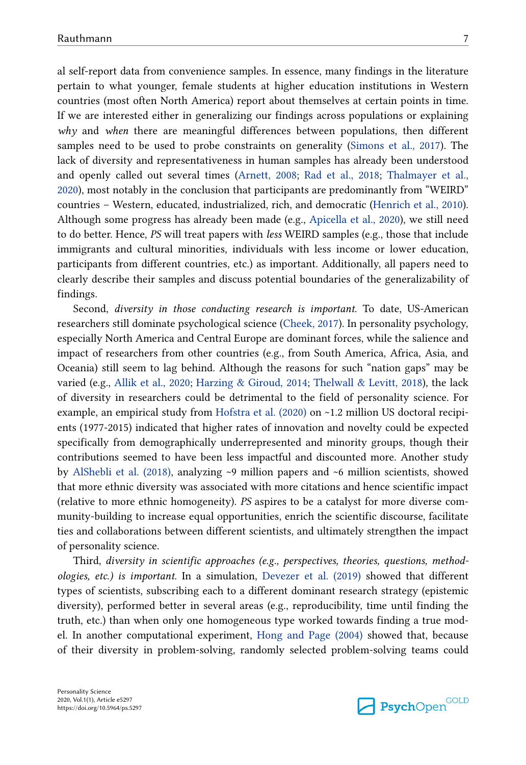al self-report data from convenience samples. In essence, many findings in the literature pertain to what younger, female students at higher education institutions in Western countries (most often North America) report about themselves at certain points in time. If we are interested either in generalizing our findings across populations or explaining *why* and *when* there are meaningful differences between populations, then different samples need to be used to probe constraints on generality [\(Simons et al., 2017\)](#page-23-0). The lack of diversity and representativeness in human samples has already been understood and openly called out several times ([Arnett, 2008](#page-18-0); [Rad et al., 2018;](#page-22-0) [Thalmayer et al.,](#page-24-0) [2020\)](#page-24-0), most notably in the conclusion that participants are predominantly from "WEIRD" countries – Western, educated, industrialized, rich, and democratic ([Henrich et al., 2010\)](#page-20-0). Although some progress has already been made (e.g., [Apicella et al., 2020\)](#page-18-0), we still need to do better. Hence, *PS* will treat papers with *less* WEIRD samples (e.g., those that include immigrants and cultural minorities, individuals with less income or lower education, participants from different countries, etc.) as important. Additionally, all papers need to clearly describe their samples and discuss potential boundaries of the generalizability of findings.

Second, *diversity in those conducting research is important*. To date, US-American researchers still dominate psychological science ([Cheek, 2017](#page-19-0)). In personality psychology, especially North America and Central Europe are dominant forces, while the salience and impact of researchers from other countries (e.g., from South America, Africa, Asia, and Oceania) still seem to lag behind. Although the reasons for such "nation gaps" may be varied (e.g., [Allik et al., 2020](#page-18-0); [Harzing & Giroud, 2014;](#page-20-0) [Thelwall & Levitt, 2018\)](#page-24-0), the lack of diversity in researchers could be detrimental to the field of personality science. For example, an empirical study from [Hofstra et al. \(2020\)](#page-20-0) on  $~1.2$  million US doctoral recipients (1977-2015) indicated that higher rates of innovation and novelty could be expected specifically from demographically underrepresented and minority groups, though their contributions seemed to have been less impactful and discounted more. Another study by [AlShebli et al. \(2018\)](#page-18-0), analyzing ~9 million papers and ~6 million scientists, showed that more ethnic diversity was associated with more citations and hence scientific impact (relative to more ethnic homogeneity). *PS* aspires to be a catalyst for more diverse com‐ munity-building to increase equal opportunities, enrich the scientific discourse, facilitate ties and collaborations between different scientists, and ultimately strengthen the impact of personality science.

Third, *diversity in scientific approaches (e.g., perspectives, theories, questions, method‐ ologies, etc.) is important*. In a simulation, [Devezer et al. \(2019\)](#page-19-0) showed that different types of scientists, subscribing each to a different dominant research strategy (epistemic diversity), performed better in several areas (e.g., reproducibility, time until finding the truth, etc.) than when only one homogeneous type worked towards finding a true mod‐ el. In another computational experiment, [Hong and Page \(2004\)](#page-20-0) showed that, because of their diversity in problem-solving, randomly selected problem-solving teams could

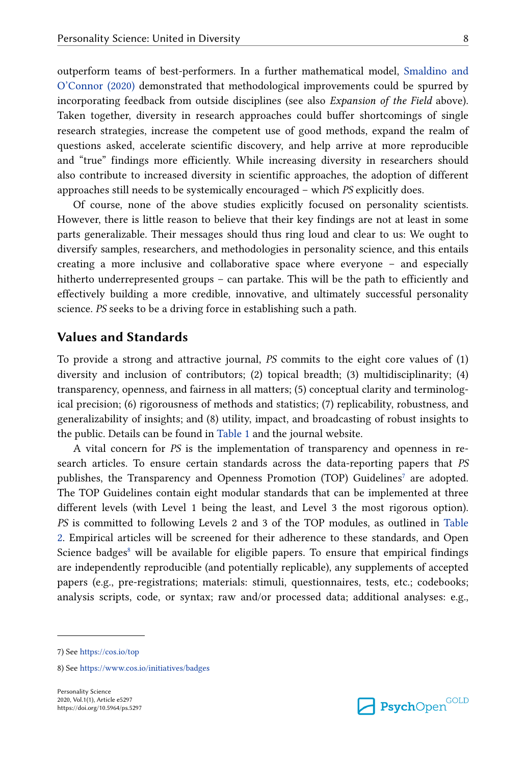outperform teams of best-performers. In a further mathematical model, [Smaldino and](#page-23-0) [O'Connor \(2020\)](#page-23-0) demonstrated that methodological improvements could be spurred by incorporating feedback from outside disciplines (see also *Expansion of the Field* above). Taken together, diversity in research approaches could buffer shortcomings of single research strategies, increase the competent use of good methods, expand the realm of questions asked, accelerate scientific discovery, and help arrive at more reproducible and "true" findings more efficiently. While increasing diversity in researchers should also contribute to increased diversity in scientific approaches, the adoption of different approaches still needs to be systemically encouraged – which *PS* explicitly does.

Of course, none of the above studies explicitly focused on personality scientists. However, there is little reason to believe that their key findings are not at least in some parts generalizable. Their messages should thus ring loud and clear to us: We ought to diversify samples, researchers, and methodologies in personality science, and this entails creating a more inclusive and collaborative space where everyone – and especially hitherto underrepresented groups – can partake. This will be the path to efficiently and effectively building a more credible, innovative, and ultimately successful personality science. *PS* seeks to be a driving force in establishing such a path.

#### **Values and Standards**

To provide a strong and attractive journal, *PS* commits to the eight core values of (1) diversity and inclusion of contributors; (2) topical breadth; (3) multidisciplinarity; (4) transparency, openness, and fairness in all matters; (5) conceptual clarity and terminolog‐ ical precision; (6) rigorousness of methods and statistics; (7) replicability, robustness, and generalizability of insights; and (8) utility, impact, and broadcasting of robust insights to the public. Details can be found in [Table 1](#page-8-0) and the journal website.

A vital concern for *PS* is the implementation of transparency and openness in re‐ search articles. To ensure certain standards across the data-reporting papers that *PS* publishes, the Transparency and Openness Promotion (TOP) Guidelines<sup>7</sup> are adopted. The TOP Guidelines contain eight modular standards that can be implemented at three different levels (with Level 1 being the least, and Level 3 the most rigorous option). *PS* is committed to following Levels 2 and 3 of the TOP modules, as outlined in [Table](#page-9-0) [2.](#page-9-0) Empirical articles will be screened for their adherence to these standards, and Open Science badges<sup>8</sup> will be available for eligible papers. To ensure that empirical findings are independently reproducible (and potentially replicable), any supplements of accepted papers (e.g., pre-registrations; materials: stimuli, questionnaires, tests, etc.; codebooks; analysis scripts, code, or syntax; raw and/or processed data; additional analyses: e.g.,

<sup>7)</sup> See<https://cos.io/top>

<sup>8)</sup> See<https://www.cos.io/initiatives/badges>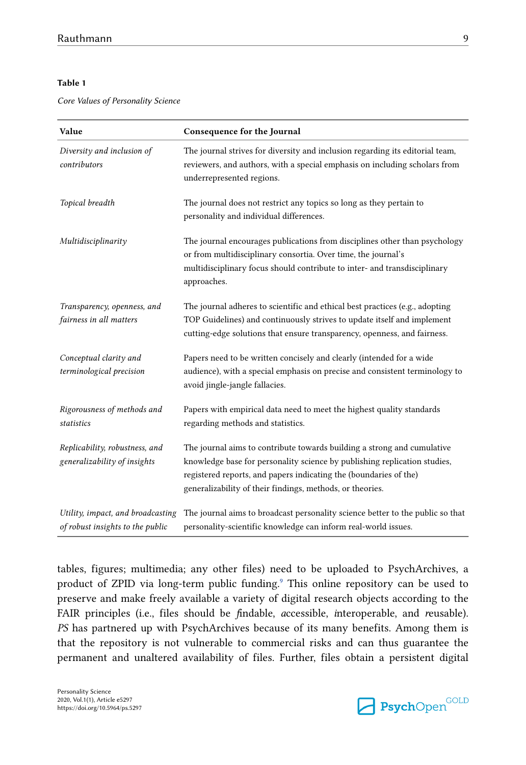#### <span id="page-8-0"></span>**Table 1**

*Core Values of Personality Science*

| Value                                                                 | Consequence for the Journal                                                                                                                                                                                                                                                            |
|-----------------------------------------------------------------------|----------------------------------------------------------------------------------------------------------------------------------------------------------------------------------------------------------------------------------------------------------------------------------------|
| Diversity and inclusion of<br>contributors                            | The journal strives for diversity and inclusion regarding its editorial team,<br>reviewers, and authors, with a special emphasis on including scholars from<br>underrepresented regions.                                                                                               |
| Topical breadth                                                       | The journal does not restrict any topics so long as they pertain to<br>personality and individual differences.                                                                                                                                                                         |
| Multidisciplinarity                                                   | The journal encourages publications from disciplines other than psychology<br>or from multidisciplinary consortia. Over time, the journal's<br>multidisciplinary focus should contribute to inter- and transdisciplinary<br>approaches.                                                |
| Transparency, openness, and<br>fairness in all matters                | The journal adheres to scientific and ethical best practices (e.g., adopting<br>TOP Guidelines) and continuously strives to update itself and implement<br>cutting-edge solutions that ensure transparency, openness, and fairness.                                                    |
| Conceptual clarity and<br>terminological precision                    | Papers need to be written concisely and clearly (intended for a wide<br>audience), with a special emphasis on precise and consistent terminology to<br>avoid jingle-jangle fallacies.                                                                                                  |
| Rigorousness of methods and<br>statistics                             | Papers with empirical data need to meet the highest quality standards<br>regarding methods and statistics.                                                                                                                                                                             |
| Replicability, robustness, and<br>generalizability of insights        | The journal aims to contribute towards building a strong and cumulative<br>knowledge base for personality science by publishing replication studies,<br>registered reports, and papers indicating the (boundaries of the)<br>generalizability of their findings, methods, or theories. |
| Utility, impact, and broadcasting<br>of robust insights to the public | The journal aims to broadcast personality science better to the public so that<br>personality-scientific knowledge can inform real-world issues.                                                                                                                                       |

tables, figures; multimedia; any other files) need to be uploaded to PsychArchives, a product of ZPID via long-term public funding.<sup>[9](#page-9-0)</sup> This online repository can be used to preserve and make freely available a variety of digital research objects according to the FAIR principles (i.e., files should be *f*indable, *a*ccessible, *i*nteroperable, and *r*eusable). *PS* has partnered up with PsychArchives because of its many benefits. Among them is that the repository is not vulnerable to commercial risks and can thus guarantee the permanent and unaltered availability of files. Further, files obtain a persistent digital

Personality Science 2020, Vol.1(1), Article e5297 https://doi.org/10.5964/ps.5297

**Psych**Open<sup>GOLD</sup>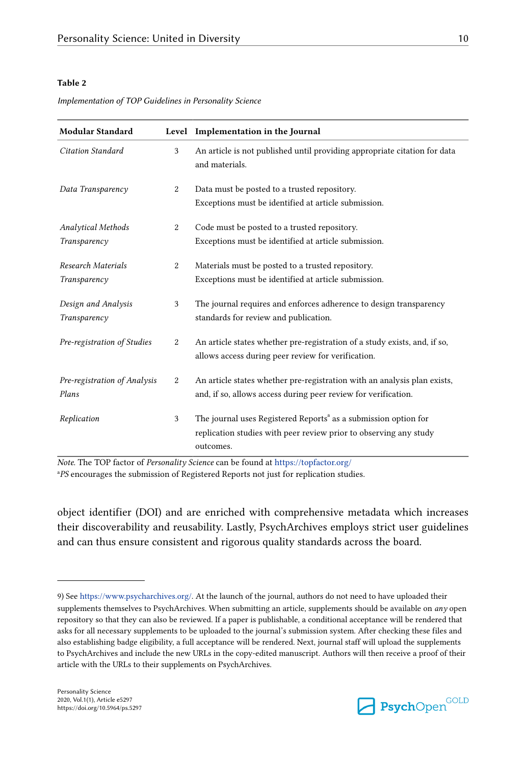#### <span id="page-9-0"></span>**Table 2**

*Implementation of TOP Guidelines in Personality Science*

| <b>Modular Standard</b>                   |                | Level Implementation in the Journal                                                                                                                           |
|-------------------------------------------|----------------|---------------------------------------------------------------------------------------------------------------------------------------------------------------|
| Citation Standard                         | 3              | An article is not published until providing appropriate citation for data<br>and materials.                                                                   |
| Data Transparency                         | 2              | Data must be posted to a trusted repository.<br>Exceptions must be identified at article submission.                                                          |
| <b>Analytical Methods</b><br>Transparency | 2              | Code must be posted to a trusted repository.<br>Exceptions must be identified at article submission.                                                          |
| Research Materials<br>Transparency        | 2              | Materials must be posted to a trusted repository.<br>Exceptions must be identified at article submission.                                                     |
| Design and Analysis<br>Transparency       | 3              | The journal requires and enforces adherence to design transparency<br>standards for review and publication.                                                   |
| Pre-registration of Studies               | 2              | An article states whether pre-registration of a study exists, and, if so,<br>allows access during peer review for verification.                               |
| Pre-registration of Analysis<br>Plans     | $\overline{c}$ | An article states whether pre-registration with an analysis plan exists,<br>and, if so, allows access during peer review for verification.                    |
| Replication                               | 3              | The journal uses Registered Reports <sup>ª</sup> as a submission option for<br>replication studies with peer review prior to observing any study<br>outcomes. |

*Note.* The TOP factor of *Personality Science* can be found at<https://topfactor.org/> <sup>a</sup>PS encourages the submission of Registered Reports not just for replication studies.

object identifier (DOI) and are enriched with comprehensive metadata which increases their discoverability and reusability. Lastly, PsychArchives employs strict user guidelines and can thus ensure consistent and rigorous quality standards across the board.



<sup>9)</sup> See [https://www.psycharchives.org/.](https://www.psycharchives.org/) At the launch of the journal, authors do not need to have uploaded their supplements themselves to PsychArchives. When submitting an article, supplements should be available on *any* open repository so that they can also be reviewed. If a paper is publishable, a conditional acceptance will be rendered that asks for all necessary supplements to be uploaded to the journal's submission system. After checking these files and also establishing badge eligibility, a full acceptance will be rendered. Next, journal staff will upload the supplements to PsychArchives and include the new URLs in the copy-edited manuscript. Authors will then receive a proof of their article with the URLs to their supplements on PsychArchives.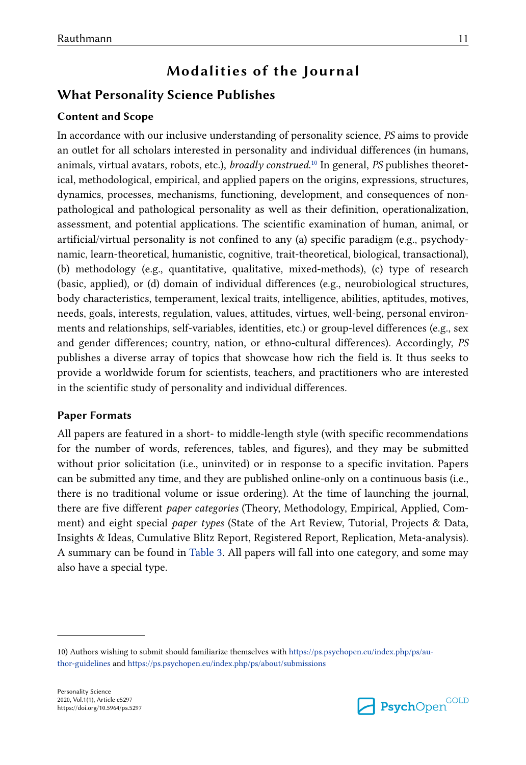# **Modalities of the Journal**

# **What Personality Science Publishes**

### **Content and Scope**

In accordance with our inclusive understanding of personality science, *PS* aims to provide an outlet for all scholars interested in personality and individual differences (in humans, animals, virtual avatars, robots, etc.), *broadly construed*. <sup>10</sup> In general, *PS* publishes theoret‐ ical, methodological, empirical, and applied papers on the origins, expressions, structures, dynamics, processes, mechanisms, functioning, development, and consequences of nonpathological and pathological personality as well as their definition, operationalization, assessment, and potential applications. The scientific examination of human, animal, or artificial/virtual personality is not confined to any (a) specific paradigm (e.g., psychody‐ namic, learn-theoretical, humanistic, cognitive, trait-theoretical, biological, transactional), (b) methodology (e.g., quantitative, qualitative, mixed-methods), (c) type of research (basic, applied), or (d) domain of individual differences (e.g., neurobiological structures, body characteristics, temperament, lexical traits, intelligence, abilities, aptitudes, motives, needs, goals, interests, regulation, values, attitudes, virtues, well-being, personal environ‐ ments and relationships, self-variables, identities, etc.) or group-level differences (e.g., sex and gender differences; country, nation, or ethno-cultural differences). Accordingly, *PS* publishes a diverse array of topics that showcase how rich the field is. It thus seeks to provide a worldwide forum for scientists, teachers, and practitioners who are interested in the scientific study of personality and individual differences.

### **Paper Formats**

All papers are featured in a short- to middle-length style (with specific recommendations for the number of words, references, tables, and figures), and they may be submitted without prior solicitation (i.e., uninvited) or in response to a specific invitation. Papers can be submitted any time, and they are published online-only on a continuous basis (i.e., there is no traditional volume or issue ordering). At the time of launching the journal, there are five different *paper categories* (Theory, Methodology, Empirical, Applied, Comment) and eight special *paper types* (State of the Art Review, Tutorial, Projects & Data, Insights & Ideas, Cumulative Blitz Report, Registered Report, Replication, Meta-analysis). A summary can be found in [Table 3.](#page-11-0) All papers will fall into one category, and some may also have a special type.



<sup>10)</sup> Authors wishing to submit should familiarize themselves with [https://ps.psychopen.eu/index.php/ps/au‐](https://ps.psychopen.eu/index.php/ps/author-guidelines) [thor-guidelines](https://ps.psychopen.eu/index.php/ps/author-guidelines) and <https://ps.psychopen.eu/index.php/ps/about/submissions>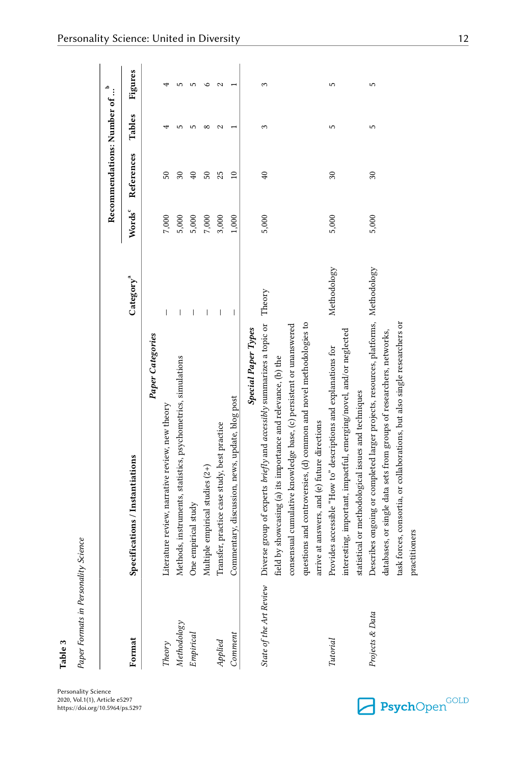| Paper Formats in Personality | <b>Science</b>                                                                                                                                                                                                                                                                                                                                                                    |                       |              |                                         |               |                |
|------------------------------|-----------------------------------------------------------------------------------------------------------------------------------------------------------------------------------------------------------------------------------------------------------------------------------------------------------------------------------------------------------------------------------|-----------------------|--------------|-----------------------------------------|---------------|----------------|
|                              |                                                                                                                                                                                                                                                                                                                                                                                   |                       |              | Recommendations: Number of <sup>b</sup> |               |                |
| Format                       | Specifications / Instantiations                                                                                                                                                                                                                                                                                                                                                   | Category <sup>a</sup> | <b>Words</b> | References                              | Tables        | Figures        |
|                              | Paper Categories                                                                                                                                                                                                                                                                                                                                                                  |                       |              |                                         |               |                |
| Theory                       | Literature review, narrative review, new theory                                                                                                                                                                                                                                                                                                                                   | I                     | 7,000        | 50                                      |               |                |
| <b>Methodology</b>           |                                                                                                                                                                                                                                                                                                                                                                                   |                       | 5,000        | $30\,$                                  |               |                |
| Empirical                    | Methods, instruments, statistics, psychometrics, simulations<br>One empirical study                                                                                                                                                                                                                                                                                               |                       | 5,000        | $\overline{40}$                         |               | ٠              |
|                              |                                                                                                                                                                                                                                                                                                                                                                                   |                       | $7{,}000$    | 50                                      | $\infty$      | ⊂              |
| Applied                      | Multiple empirical studies $(2+)$<br>Transfer, practice case study, best practice                                                                                                                                                                                                                                                                                                 | I                     | 3,000        | 25                                      | $\mathcal{C}$ | $\mathbf \sim$ |
| Comment                      | Commentary, discussion, news, update, blog post                                                                                                                                                                                                                                                                                                                                   | I                     | 1,000        | $\overline{10}$                         |               |                |
|                              | State of the Art Review Diverse group of experts briefly and accessibly summarizes a topic or<br>questions and controversies, (d) common and novel methodologies to<br>consensual cumulative knowledge base, (c) persistent or unanswered<br>Special Paper Types<br>field by showcasing (a) its importance and relevance, (b) the<br>arrive at answers, and (e) future directions | Theory                | 5,000        | $\overline{40}$                         | 3             | 3              |
| Tutorial                     | interesting, important, impactful, emerging/novel, and/or neglected<br>Provides accessible "How to" descriptions and explanations for<br>statistical or methodological issues and techniques                                                                                                                                                                                      | Methodology           | 5,000        | 30                                      | 5             | 5              |
| Projects & Data              | Describes ongoing or completed larger projects, resources, platforms, Methodology<br>task forces, consortia, or collaborations, but also single researchers or<br>databases, or single data sets from groups of researchers, networks,                                                                                                                                            |                       | 5,000        | 30                                      | 5             | 5              |

<span id="page-11-0"></span>Personality Science: United in Diversity 12

Personality Science 2020, Vol.1(1), Article e5297 https://doi.org/10.5964/ps.5297

**Table 3**



practitioners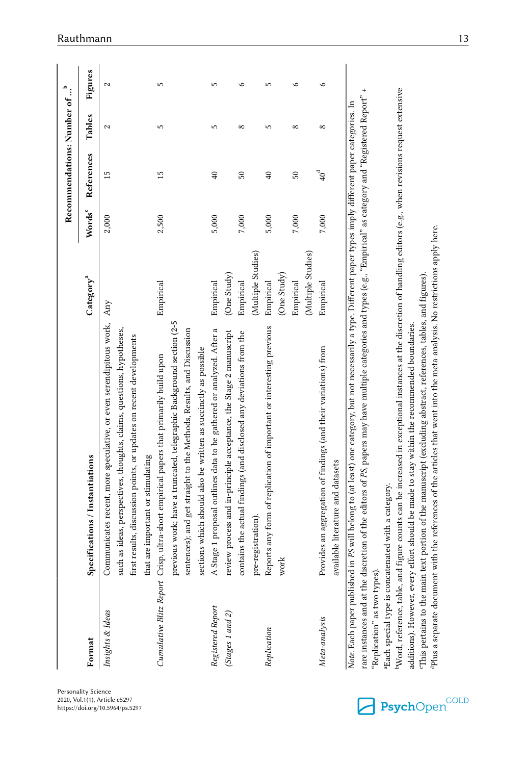|                                                               |                                                                                                                                                                                                                                                                                                                                                                                                                                                                                                                                                                                                                                                                                                                                                                                                                                                                                   |                                                             |                    | Recommendations: Number of |            | م<br>$\vdots$ |
|---------------------------------------------------------------|-----------------------------------------------------------------------------------------------------------------------------------------------------------------------------------------------------------------------------------------------------------------------------------------------------------------------------------------------------------------------------------------------------------------------------------------------------------------------------------------------------------------------------------------------------------------------------------------------------------------------------------------------------------------------------------------------------------------------------------------------------------------------------------------------------------------------------------------------------------------------------------|-------------------------------------------------------------|--------------------|----------------------------|------------|---------------|
| Format                                                        | Specifications / Instantiations                                                                                                                                                                                                                                                                                                                                                                                                                                                                                                                                                                                                                                                                                                                                                                                                                                                   | $\mathrm{C}$ ategory $^{\mathrm{a}}$                        | Words <sup>c</sup> | References                 | Tables     | Figures       |
| Insights & Ideas                                              | Communicates recent, more speculative, or even serendipitous work,<br>such as ideas, perspectives, thoughts, claims, questions, hypotheses,<br>first results, discussion points, or updates on recent developments<br>that are important or stimulating                                                                                                                                                                                                                                                                                                                                                                                                                                                                                                                                                                                                                           | Any                                                         | 2,000              | 15                         | 2          | 2             |
|                                                               | previous work; have a truncated, telegraphic Background section (2-5<br>sentences); and get straight to the Methods, Results, and Discussion<br>sections which should also be written as succinctly as possible<br>Cumulative Blitz Report Crisp, ultra-short empirical papers that primarily build upon                                                                                                                                                                                                                                                                                                                                                                                                                                                                                                                                                                          | Empirical                                                   | 2,500              | 15                         | 5          | 5             |
| Registered Report<br>(Stages 1 and 2)                         | A Stage 1 proposal outlines data to be gathered or analyzed. After a<br>review process and in-principle acceptance, the Stage 2 manuscript                                                                                                                                                                                                                                                                                                                                                                                                                                                                                                                                                                                                                                                                                                                                        | (One Study)<br>Empirical                                    | 5,000              | $\overline{40}$            | 5          | 5             |
|                                                               | contains the actual findings (and disclosed any deviations from the<br>pre-registration)                                                                                                                                                                                                                                                                                                                                                                                                                                                                                                                                                                                                                                                                                                                                                                                          | (Multiple Studies)<br>Empirical                             | 7,000              | $50\,$                     | $^{\circ}$ | ه             |
| Replication                                                   | Reports any form of replication of important or interesting previous<br>work                                                                                                                                                                                                                                                                                                                                                                                                                                                                                                                                                                                                                                                                                                                                                                                                      | (Multiple Studies)<br>(One Study)<br>Empirical<br>Empirical | 5,000<br>7,000     | 40<br>50                   | 5<br>∞     | LO            |
| Meta-analysis                                                 | Provides an aggregation of findings (and their variations) from<br>available literature and datasets                                                                                                                                                                                                                                                                                                                                                                                                                                                                                                                                                                                                                                                                                                                                                                              | Empirical                                                   | 7,000              | $40^{\rm d}$               | $^{\circ}$ | $\circ$       |
| Word, reference, table, and f<br>'Replication" as two types). | figure counts can be increased in exceptional instances at the discretion of handling editors (e.g., when revisions request extensive<br>rare instances and at the discretion of the editors of PS papers may have multiple categories and types (e.g., "Empirical" as category and "Registered Report"<br>Note. Each paper published in PS will belong to (at least) one category, but not necessarily a type. Different paper types imply different paper categories. In<br>Plus a separate document with the references of the articles that went into the meta-analysis. No restrictions apply here.<br>"This pertains to the main text portion of the manuscript (excluding abstract, references, tables, and figures).<br>additions). However, every effort should be made to stay within the recommended boundaries.<br>Each special type is concatenated with a category. |                                                             |                    |                            |            | $\ddot{}$     |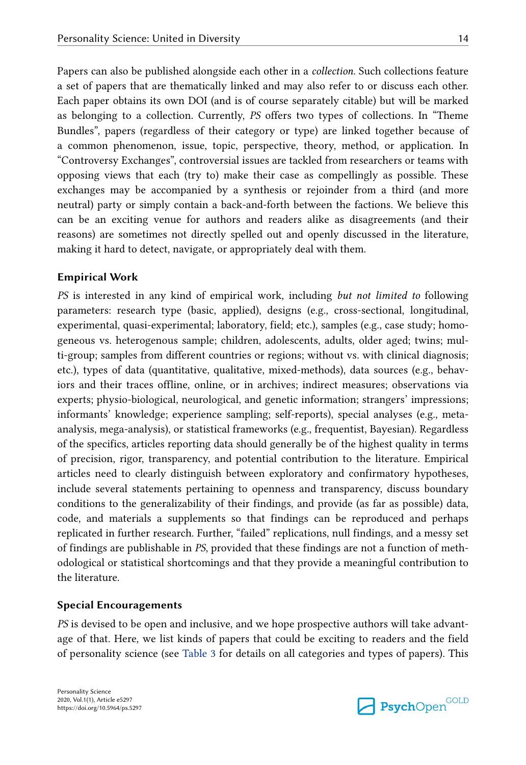Papers can also be published alongside each other in a *collection*. Such collections feature a set of papers that are thematically linked and may also refer to or discuss each other. Each paper obtains its own DOI (and is of course separately citable) but will be marked as belonging to a collection. Currently, *PS* offers two types of collections. In "Theme Bundles", papers (regardless of their category or type) are linked together because of a common phenomenon, issue, topic, perspective, theory, method, or application. In "Controversy Exchanges", controversial issues are tackled from researchers or teams with opposing views that each (try to) make their case as compellingly as possible. These exchanges may be accompanied by a synthesis or rejoinder from a third (and more neutral) party or simply contain a back-and-forth between the factions. We believe this can be an exciting venue for authors and readers alike as disagreements (and their reasons) are sometimes not directly spelled out and openly discussed in the literature, making it hard to detect, navigate, or appropriately deal with them.

### **Empirical Work**

*PS* is interested in any kind of empirical work, including *but not limited to* following parameters: research type (basic, applied), designs (e.g., cross-sectional, longitudinal, experimental, quasi-experimental; laboratory, field; etc.), samples (e.g., case study; homogeneous vs. heterogenous sample; children, adolescents, adults, older aged; twins; multi-group; samples from different countries or regions; without vs. with clinical diagnosis; etc.), types of data (quantitative, qualitative, mixed-methods), data sources (e.g., behaviors and their traces offline, online, or in archives; indirect measures; observations via experts; physio-biological, neurological, and genetic information; strangers' impressions; informants' knowledge; experience sampling; self-reports), special analyses (e.g., metaanalysis, mega-analysis), or statistical frameworks (e.g., frequentist, Bayesian). Regardless of the specifics, articles reporting data should generally be of the highest quality in terms of precision, rigor, transparency, and potential contribution to the literature. Empirical articles need to clearly distinguish between exploratory and confirmatory hypotheses, include several statements pertaining to openness and transparency, discuss boundary conditions to the generalizability of their findings, and provide (as far as possible) data, code, and materials a supplements so that findings can be reproduced and perhaps replicated in further research. Further, "failed" replications, null findings, and a messy set of findings are publishable in *PS*, provided that these findings are not a function of meth‐ odological or statistical shortcomings and that they provide a meaningful contribution to the literature.

#### **Special Encouragements**

*PS* is devised to be open and inclusive, and we hope prospective authors will take advantage of that. Here, we list kinds of papers that could be exciting to readers and the field of personality science (see [Table 3](#page-11-0) for details on all categories and types of papers). This

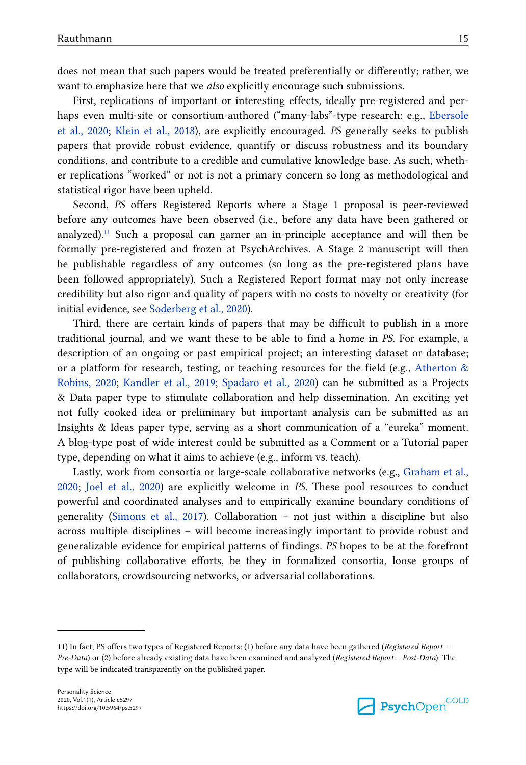does not mean that such papers would be treated preferentially or differently; rather, we want to emphasize here that we *also* explicitly encourage such submissions.

First, replications of important or interesting effects, ideally pre-registered and perhaps even multi-site or consortium-authored ("many-labs"-type research: e.g., [Ebersole](#page-20-0) [et al., 2020](#page-20-0); [Klein et al., 2018](#page-21-0)), are explicitly encouraged. *PS* generally seeks to publish papers that provide robust evidence, quantify or discuss robustness and its boundary conditions, and contribute to a credible and cumulative knowledge base. As such, wheth‐ er replications "worked" or not is not a primary concern so long as methodological and statistical rigor have been upheld.

Second, *PS* offers Registered Reports where a Stage 1 proposal is peer-reviewed before any outcomes have been observed (i.e., before any data have been gathered or analyzed).<sup>11</sup> Such a proposal can garner an in-principle acceptance and will then be formally pre-registered and frozen at PsychArchives. A Stage 2 manuscript will then be publishable regardless of any outcomes (so long as the pre-registered plans have been followed appropriately). Such a Registered Report format may not only increase credibility but also rigor and quality of papers with no costs to novelty or creativity (for initial evidence, see [Soderberg et al., 2020](#page-23-0)).

Third, there are certain kinds of papers that may be difficult to publish in a more traditional journal, and we want these to be able to find a home in *PS*. For example, a description of an ongoing or past empirical project; an interesting dataset or database; or a platform for research, testing, or teaching resources for the field (e.g., Atherton  $\&$ [Robins, 2020;](#page-18-0) [Kandler et al., 2019;](#page-21-0) [Spadaro et al., 2020](#page-23-0)) can be submitted as a Projects & Data paper type to stimulate collaboration and help dissemination. An exciting yet not fully cooked idea or preliminary but important analysis can be submitted as an Insights & Ideas paper type, serving as a short communication of a "eureka" moment. A blog-type post of wide interest could be submitted as a Comment or a Tutorial paper type, depending on what it aims to achieve (e.g., inform vs. teach).

Lastly, work from consortia or large-scale collaborative networks (e.g., [Graham et al.,](#page-20-0) [2020;](#page-20-0) [Joel et al., 2020\)](#page-21-0) are explicitly welcome in *PS*. These pool resources to conduct powerful and coordinated analyses and to empirically examine boundary conditions of generality ([Simons et al., 2017\)](#page-23-0). Collaboration – not just within a discipline but also across multiple disciplines – will become increasingly important to provide robust and generalizable evidence for empirical patterns of findings. *PS* hopes to be at the forefront of publishing collaborative efforts, be they in formalized consortia, loose groups of collaborators, crowdsourcing networks, or adversarial collaborations.



<sup>11)</sup> In fact, PS offers two types of Registered Reports: (1) before any data have been gathered (*Registered Report – Pre-Data*) or (2) before already existing data have been examined and analyzed (*Registered Report – Post-Data*). The type will be indicated transparently on the published paper.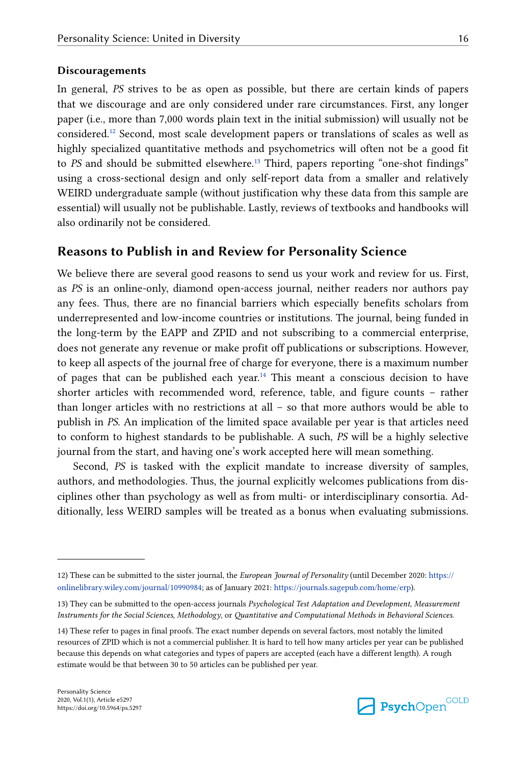#### **Discouragements**

In general, *PS* strives to be as open as possible, but there are certain kinds of papers that we discourage and are only considered under rare circumstances. First, any longer paper (i.e., more than 7,000 words plain text in the initial submission) will usually not be considered.<sup>12</sup> Second, most scale development papers or translations of scales as well as highly specialized quantitative methods and psychometrics will often not be a good fit to *PS* and should be submitted elsewhere.<sup>13</sup> Third, papers reporting "one-shot findings" using a cross-sectional design and only self-report data from a smaller and relatively WEIRD undergraduate sample (without justification why these data from this sample are essential) will usually not be publishable. Lastly, reviews of textbooks and handbooks will also ordinarily not be considered.

### **Reasons to Publish in and Review for Personality Science**

We believe there are several good reasons to send us your work and review for us. First, as *PS* is an online-only, diamond open-access journal, neither readers nor authors pay any fees. Thus, there are no financial barriers which especially benefits scholars from underrepresented and low-income countries or institutions. The journal, being funded in the long-term by the EAPP and ZPID and not subscribing to a commercial enterprise, does not generate any revenue or make profit off publications or subscriptions. However, to keep all aspects of the journal free of charge for everyone, there is a maximum number of pages that can be published each year.<sup>14</sup> This meant a conscious decision to have shorter articles with recommended word, reference, table, and figure counts – rather than longer articles with no restrictions at all – so that more authors would be able to publish in *PS*. An implication of the limited space available per year is that articles need to conform to highest standards to be publishable. A such, *PS* will be a highly selective journal from the start, and having one's work accepted here will mean something.

Second, *PS* is tasked with the explicit mandate to increase diversity of samples, authors, and methodologies. Thus, the journal explicitly welcomes publications from dis‐ ciplines other than psychology as well as from multi- or interdisciplinary consortia. Ad‐ ditionally, less WEIRD samples will be treated as a bonus when evaluating submissions.



<sup>12)</sup> These can be submitted to the sister journal, the *European Journal of Personality* (until December 2020: [https://](https://onlinelibrary.wiley.com/journal/10990984) [onlinelibrary.wiley.com/journal/10990984;](https://onlinelibrary.wiley.com/journal/10990984) as of January 2021: [https://journals.sagepub.com/home/erp\)](https://journals.sagepub.com/home/erp).

<sup>13)</sup> They can be submitted to the open-access journals *Psychological Test Adaptation and Development*, *Measurement Instruments for the Social Sciences*, *Methodology*, or *Quantitative and Computational Methods in Behavioral Sciences*.

<sup>14)</sup> These refer to pages in final proofs. The exact number depends on several factors, most notably the limited resources of ZPID which is not a commercial publisher. It is hard to tell how many articles per year can be published because this depends on what categories and types of papers are accepted (each have a different length). A rough estimate would be that between 30 to 50 articles can be published per year.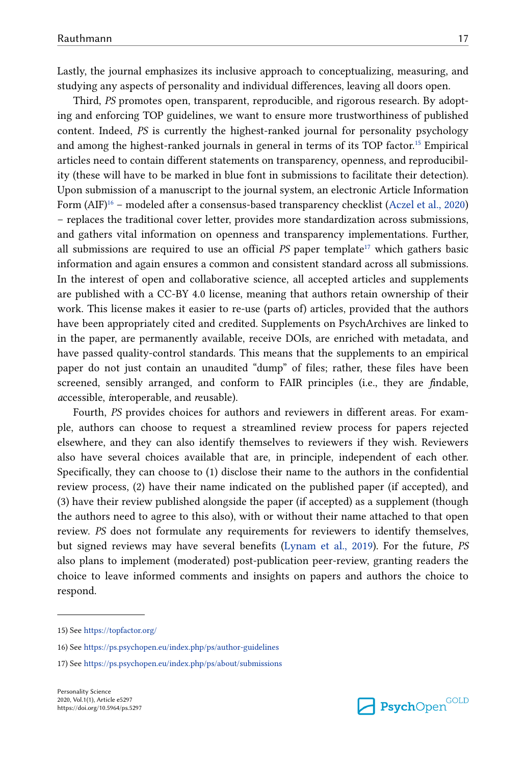Lastly, the journal emphasizes its inclusive approach to conceptualizing, measuring, and studying any aspects of personality and individual differences, leaving all doors open.

Third, *PS* promotes open, transparent, reproducible, and rigorous research. By adopting and enforcing TOP guidelines, we want to ensure more trustworthiness of published content. Indeed, *PS* is currently the highest-ranked journal for personality psychology and among the highest-ranked journals in general in terms of its TOP factor.<sup>15</sup> Empirical articles need to contain different statements on transparency, openness, and reproducibil‐ ity (these will have to be marked in blue font in submissions to facilitate their detection). Upon submission of a manuscript to the journal system, an electronic Article Information Form (AIF)<sup>16</sup> – modeled after a consensus-based transparency checklist [\(Aczel et al., 2020\)](#page-18-0) – replaces the traditional cover letter, provides more standardization across submissions, and gathers vital information on openness and transparency implementations. Further, all submissions are required to use an official  $PS$  paper template<sup>17</sup> which gathers basic information and again ensures a common and consistent standard across all submissions. In the interest of open and collaborative science, all accepted articles and supplements are published with a CC-BY 4.0 license, meaning that authors retain ownership of their work. This license makes it easier to re-use (parts of) articles, provided that the authors have been appropriately cited and credited. Supplements on PsychArchives are linked to in the paper, are permanently available, receive DOIs, are enriched with metadata, and have passed quality-control standards. This means that the supplements to an empirical paper do not just contain an unaudited "dump" of files; rather, these files have been screened, sensibly arranged, and conform to FAIR principles (i.e., they are *f*indable, *a*ccessible, *i*nteroperable, and *r*eusable).

Fourth, *PS* provides choices for authors and reviewers in different areas. For example, authors can choose to request a streamlined review process for papers rejected elsewhere, and they can also identify themselves to reviewers if they wish. Reviewers also have several choices available that are, in principle, independent of each other. Specifically, they can choose to (1) disclose their name to the authors in the confidential review process, (2) have their name indicated on the published paper (if accepted), and (3) have their review published alongside the paper (if accepted) as a supplement (though the authors need to agree to this also), with or without their name attached to that open review. *PS* does not formulate any requirements for reviewers to identify themselves, but signed reviews may have several benefits ([Lynam et al., 2019\)](#page-21-0). For the future, *PS* also plans to implement (moderated) post-publication peer-review, granting readers the choice to leave informed comments and insights on papers and authors the choice to respond.



<sup>15)</sup> See <https://topfactor.org/>

<sup>16)</sup> See <https://ps.psychopen.eu/index.php/ps/author-guidelines>

<sup>17)</sup> See <https://ps.psychopen.eu/index.php/ps/about/submissions>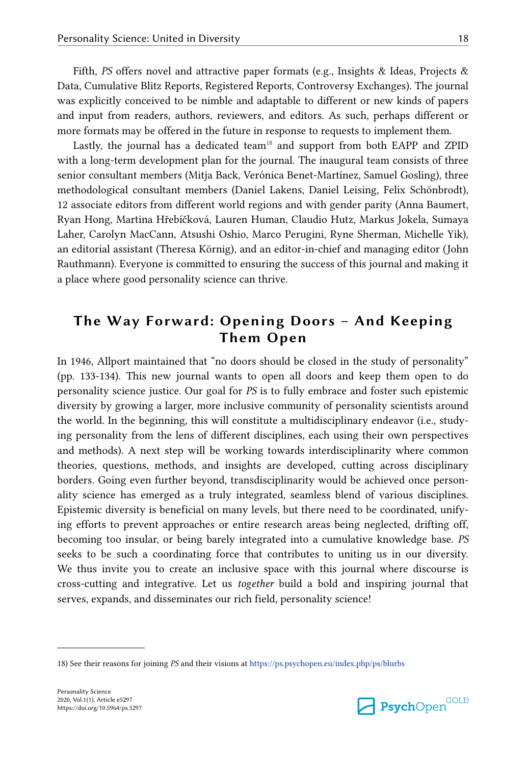Fifth, *PS* offers novel and attractive paper formats (e.g., Insights & Ideas, Projects & Data, Cumulative Blitz Reports, Registered Reports, Controversy Exchanges). The journal was explicitly conceived to be nimble and adaptable to different or new kinds of papers and input from readers, authors, reviewers, and editors. As such, perhaps different or more formats may be offered in the future in response to requests to implement them.

Lastly, the journal has a dedicated team<sup>18</sup> and support from both EAPP and ZPID with a long-term development plan for the journal. The inaugural team consists of three senior consultant members (Mitja Back, Verónica Benet-Martínez, Samuel Gosling), three methodological consultant members (Daniel Lakens, Daniel Leising, Felix Schönbrodt), 12 associate editors from different world regions and with gender parity (Anna Baumert, Ryan Hong, Martina Hřebíčková, Lauren Human, Claudio Hutz, Markus Jokela, Sumaya Laher, Carolyn MacCann, Atsushi Oshio, Marco Perugini, Ryne Sherman, Michelle Yik), an editorial assistant (Theresa Körnig), and an editor-in-chief and managing editor (John Rauthmann). Everyone is committed to ensuring the success of this journal and making it a place where good personality science can thrive.

# **The Way Forward: Opening Doors – And Keeping Them Open**

In 1946, Allport maintained that "no doors should be closed in the study of personality" (pp. 133-134). This new journal wants to open all doors and keep them open to do personality science justice. Our goal for *PS* is to fully embrace and foster such epistemic diversity by growing a larger, more inclusive community of personality scientists around the world. In the beginning, this will constitute a multidisciplinary endeavor (i.e., study‐ ing personality from the lens of different disciplines, each using their own perspectives and methods). A next step will be working towards interdisciplinarity where common theories, questions, methods, and insights are developed, cutting across disciplinary borders. Going even further beyond, transdisciplinarity would be achieved once personality science has emerged as a truly integrated, seamless blend of various disciplines. Epistemic diversity is beneficial on many levels, but there need to be coordinated, unify‐ ing efforts to prevent approaches or entire research areas being neglected, drifting off, becoming too insular, or being barely integrated into a cumulative knowledge base. *PS* seeks to be such a coordinating force that contributes to uniting us in our diversity. We thus invite you to create an inclusive space with this journal where discourse is cross-cutting and integrative. Let us *together* build a bold and inspiring journal that serves, expands, and disseminates our rich field, personality science!



<sup>18)</sup> See their reasons for joining *PS* and their visions at<https://ps.psychopen.eu/index.php/ps/blurbs>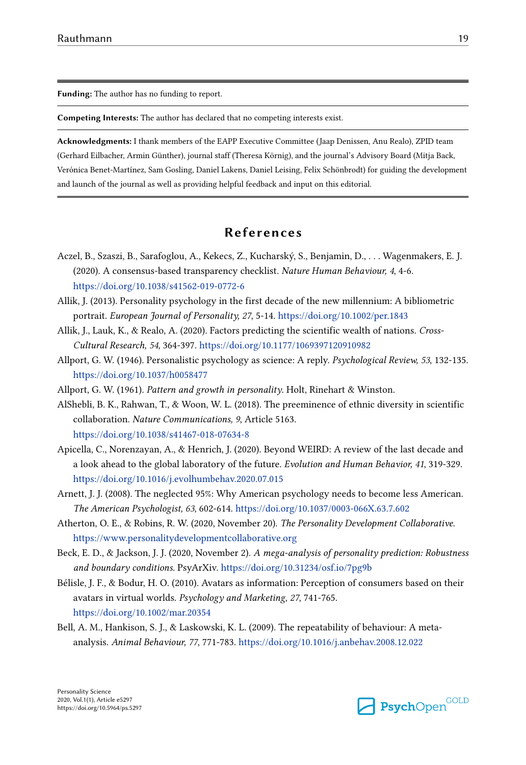<span id="page-18-0"></span>**Funding:** The author has no funding to report.

**Competing Interests:** The author has declared that no competing interests exist.

**Acknowledgments:** I thank members of the EAPP Executive Committee (Jaap Denissen, Anu Realo), ZPID team (Gerhard Eilbacher, Armin Günther), journal staff (Theresa Körnig), and the journal's Advisory Board (Mitja Back, Verónica Benet-Martínez, Sam Gosling, Daniel Lakens, Daniel Leising, Felix Schönbrodt) for guiding the development and launch of the journal as well as providing helpful feedback and input on this editorial.

### **References**

- Aczel, B., Szaszi, B., Sarafoglou, A., Kekecs, Z., Kucharský, S., Benjamin, D., . . . Wagenmakers, E. J. (2020). A consensus-based transparency checklist. *Nature Human Behaviour, 4*, 4-6. <https://doi.org/10.1038/s41562-019-0772-6>
- Allik, J. (2013). Personality psychology in the first decade of the new millennium: A bibliometric portrait. *European Journal of Personality, 27*, 5-14.<https://doi.org/10.1002/per.1843>
- Allik, J., Lauk, K., & Realo, A. (2020). Factors predicting the scientific wealth of nations. *Cross-Cultural Research, 54*, 364-397.<https://doi.org/10.1177/1069397120910982>
- Allport, G. W. (1946). Personalistic psychology as science: A reply. *Psychological Review, 53*, 132-135. <https://doi.org/10.1037/h0058477>
- Allport, G. W. (1961). *Pattern and growth in personality*. Holt, Rinehart & Winston.
- AlShebli, B. K., Rahwan, T., & Woon, W. L. (2018). The preeminence of ethnic diversity in scientific collaboration. *Nature Communications, 9*, Article 5163. <https://doi.org/10.1038/s41467-018-07634-8>
- Apicella, C., Norenzayan, A., & Henrich, J. (2020). Beyond WEIRD: A review of the last decade and a look ahead to the global laboratory of the future. *Evolution and Human Behavior, 41*, 319-329. <https://doi.org/10.1016/j.evolhumbehav.2020.07.015>
- Arnett, J. J. (2008). The neglected 95%: Why American psychology needs to become less American. *The American Psychologist, 63*, 602-614. <https://doi.org/10.1037/0003-066X.63.7.602>
- Atherton, O. E., & Robins, R. W. (2020, November 20). *The Personality Development Collaborative*. <https://www.personalitydevelopmentcollaborative.org>
- Beck, E. D., & Jackson, J. J. (2020, November 2). *A mega-analysis of personality prediction: Robustness and boundary conditions.* PsyArXiv. <https://doi.org/10.31234/osf.io/7pg9b>
- Bélisle, J. F., & Bodur, H. O. (2010). Avatars as information: Perception of consumers based on their avatars in virtual worlds. *Psychology and Marketing, 27*, 741-765. <https://doi.org/10.1002/mar.20354>
- Bell, A. M., Hankison, S. J., & Laskowski, K. L. (2009). The repeatability of behaviour: A metaanalysis. *Animal Behaviour, 77*, 771-783.<https://doi.org/10.1016/j.anbehav.2008.12.022>

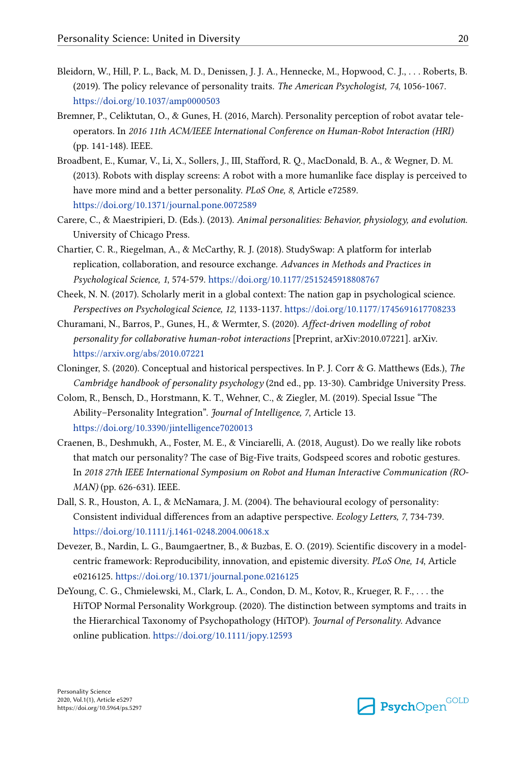- <span id="page-19-0"></span>Bleidorn, W., Hill, P. L., Back, M. D., Denissen, J. J. A., Hennecke, M., Hopwood, C. J., . . . Roberts, B. (2019). The policy relevance of personality traits. *The American Psychologist, 74*, 1056-1067. <https://doi.org/10.1037/amp0000503>
- Bremner, P., Celiktutan, O., & Gunes, H. (2016, March). Personality perception of robot avatar teleoperators. In *2016 11th ACM/IEEE International Conference on Human-Robot Interaction (HRI)* (pp. 141-148). IEEE.
- Broadbent, E., Kumar, V., Li, X., Sollers, J., III, Stafford, R. Q., MacDonald, B. A., & Wegner, D. M. (2013). Robots with display screens: A robot with a more humanlike face display is perceived to have more mind and a better personality. *PLoS One, 8*, Article e72589. <https://doi.org/10.1371/journal.pone.0072589>
- Carere, C., & Maestripieri, D. (Eds.). (2013). *Animal personalities: Behavior, physiology, and evolution*. University of Chicago Press.
- Chartier, C. R., Riegelman, A., & McCarthy, R. J. (2018). StudySwap: A platform for interlab replication, collaboration, and resource exchange. *Advances in Methods and Practices in Psychological Science, 1*, 574-579.<https://doi.org/10.1177/2515245918808767>
- Cheek, N. N. (2017). Scholarly merit in a global context: The nation gap in psychological science. *Perspectives on Psychological Science, 12*, 1133-1137.<https://doi.org/10.1177/1745691617708233>
- Churamani, N., Barros, P., Gunes, H., & Wermter, S. (2020). *Affect-driven modelling of robot personality for collaborative human-robot interactions* [Preprint, arXiv:2010.07221]. arXiv. <https://arxiv.org/abs/2010.07221>
- Cloninger, S. (2020). Conceptual and historical perspectives. In P. J. Corr & G. Matthews (Eds.), *The Cambridge handbook of personality psychology* (2nd ed., pp. 13-30). Cambridge University Press.
- Colom, R., Bensch, D., Horstmann, K. T., Wehner, C., & Ziegler, M. (2019). Special Issue "The Ability–Personality Integration". *Journal of Intelligence, 7*, Article 13. <https://doi.org/10.3390/jintelligence7020013>
- Craenen, B., Deshmukh, A., Foster, M. E., & Vinciarelli, A. (2018, August). Do we really like robots that match our personality? The case of Big-Five traits, Godspeed scores and robotic gestures. In *2018 27th IEEE International Symposium on Robot and Human Interactive Communication (RO-MAN)* (pp. 626-631). IEEE.
- Dall, S. R., Houston, A. I., & McNamara, J. M. (2004). The behavioural ecology of personality: Consistent individual differences from an adaptive perspective. *Ecology Letters, 7*, 734-739. <https://doi.org/10.1111/j.1461-0248.2004.00618.x>
- Devezer, B., Nardin, L. G., Baumgaertner, B., & Buzbas, E. O. (2019). Scientific discovery in a modelcentric framework: Reproducibility, innovation, and epistemic diversity. *PLoS One, 14*, Article e0216125. <https://doi.org/10.1371/journal.pone.0216125>
- DeYoung, C. G., Chmielewski, M., Clark, L. A., Condon, D. M., Kotov, R., Krueger, R. F., . . . the HiTOP Normal Personality Workgroup. (2020). The distinction between symptoms and traits in the Hierarchical Taxonomy of Psychopathology (HiTOP). *Journal of Personality*. Advance online publication.<https://doi.org/10.1111/jopy.12593>

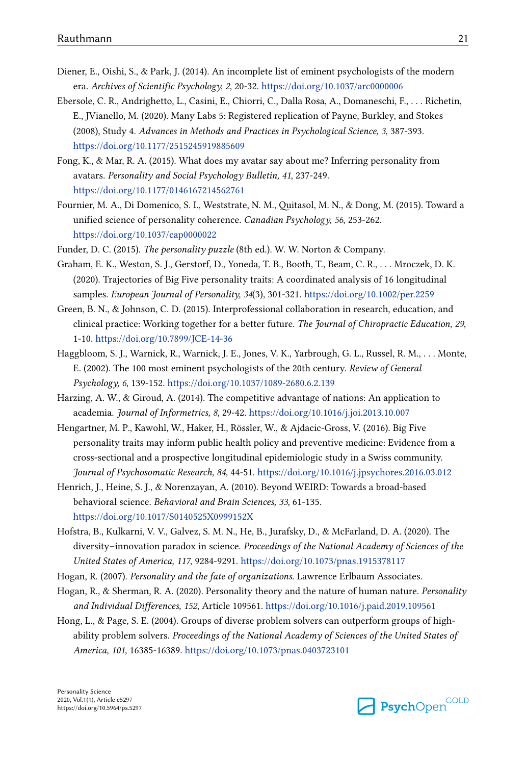- <span id="page-20-0"></span>Diener, E., Oishi, S., & Park, J. (2014). An incomplete list of eminent psychologists of the modern era. *Archives of Scientific Psychology, 2*, 20-32. <https://doi.org/10.1037/arc0000006>
- Ebersole, C. R., Andrighetto, L., Casini, E., Chiorri, C., Dalla Rosa, A., Domaneschi, F., . . . Richetin, E., JVianello, M. (2020). Many Labs 5: Registered replication of Payne, Burkley, and Stokes (2008), Study 4. *Advances in Methods and Practices in Psychological Science, 3*, 387-393. <https://doi.org/10.1177/2515245919885609>
- Fong, K., & Mar, R. A. (2015). What does my avatar say about me? Inferring personality from avatars. *Personality and Social Psychology Bulletin, 41*, 237-249. <https://doi.org/10.1177/0146167214562761>
- Fournier, M. A., Di Domenico, S. I., Weststrate, N. M., Quitasol, M. N., & Dong, M. (2015). Toward a unified science of personality coherence. *Canadian Psychology, 56*, 253-262. <https://doi.org/10.1037/cap0000022>

Funder, D. C. (2015). *The personality puzzle* (8th ed.). W. W. Norton & Company.

- Graham, E. K., Weston, S. J., Gerstorf, D., Yoneda, T. B., Booth, T., Beam, C. R., . . . Mroczek, D. K. (2020). Trajectories of Big Five personality traits: A coordinated analysis of 16 longitudinal samples. *European Journal of Personality, 34*(3), 301-321. <https://doi.org/10.1002/per.2259>
- Green, B. N., & Johnson, C. D. (2015). Interprofessional collaboration in research, education, and clinical practice: Working together for a better future. *The Journal of Chiropractic Education, 29*, 1-10.<https://doi.org/10.7899/JCE-14-36>
- Haggbloom, S. J., Warnick, R., Warnick, J. E., Jones, V. K., Yarbrough, G. L., Russel, R. M., . . . Monte, E. (2002). The 100 most eminent psychologists of the 20th century. *Review of General Psychology, 6*, 139-152.<https://doi.org/10.1037/1089-2680.6.2.139>
- Harzing, A. W., & Giroud, A. (2014). The competitive advantage of nations: An application to academia. *Journal of Informetrics, 8*, 29-42. <https://doi.org/10.1016/j.joi.2013.10.007>
- Hengartner, M. P., Kawohl, W., Haker, H., Rössler, W., & Ajdacic-Gross, V. (2016). Big Five personality traits may inform public health policy and preventive medicine: Evidence from a cross-sectional and a prospective longitudinal epidemiologic study in a Swiss community. *Journal of Psychosomatic Research, 84*, 44-51.<https://doi.org/10.1016/j.jpsychores.2016.03.012>
- Henrich, J., Heine, S. J., & Norenzayan, A. (2010). Beyond WEIRD: Towards a broad-based behavioral science. *Behavioral and Brain Sciences, 33*, 61-135. <https://doi.org/10.1017/S0140525X0999152X>
- Hofstra, B., Kulkarni, V. V., Galvez, S. M. N., He, B., Jurafsky, D., & McFarland, D. A. (2020). The diversity–innovation paradox in science. *Proceedings of the National Academy of Sciences of the United States of America, 117*, 9284-9291.<https://doi.org/10.1073/pnas.1915378117>
- Hogan, R. (2007). *Personality and the fate of organizations.* Lawrence Erlbaum Associates.
- Hogan, R., & Sherman, R. A. (2020). Personality theory and the nature of human nature. *Personality and Individual Differences, 152*, Article 109561.<https://doi.org/10.1016/j.paid.2019.109561>
- Hong, L., & Page, S. E. (2004). Groups of diverse problem solvers can outperform groups of highability problem solvers. *Proceedings of the National Academy of Sciences of the United States of America, 101*, 16385-16389. <https://doi.org/10.1073/pnas.0403723101>

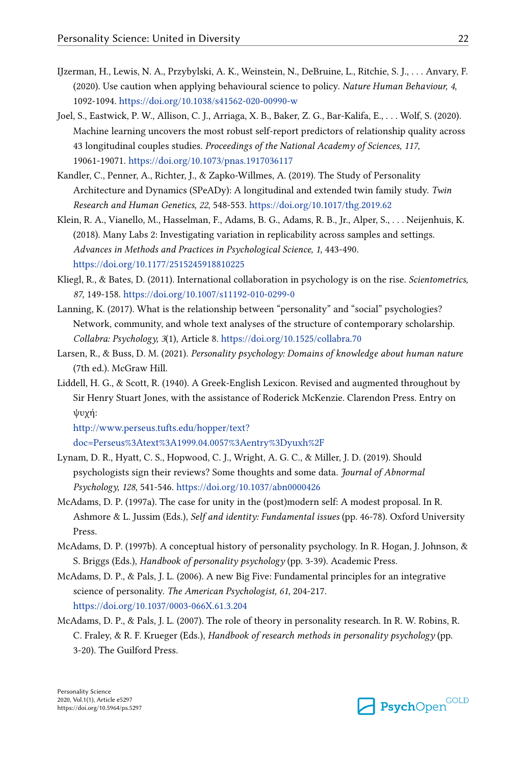- <span id="page-21-0"></span>IJzerman, H., Lewis, N. A., Przybylski, A. K., Weinstein, N., DeBruine, L., Ritchie, S. J., . . . Anvary, F. (2020). Use caution when applying behavioural science to policy. *Nature Human Behaviour, 4*, 1092-1094. <https://doi.org/10.1038/s41562-020-00990-w>
- Joel, S., Eastwick, P. W., Allison, C. J., Arriaga, X. B., Baker, Z. G., Bar-Kalifa, E., . . . Wolf, S. (2020). Machine learning uncovers the most robust self-report predictors of relationship quality across 43 longitudinal couples studies. *Proceedings of the National Academy of Sciences, 117*, 19061-19071.<https://doi.org/10.1073/pnas.1917036117>
- Kandler, C., Penner, A., Richter, J., & Zapko-Willmes, A. (2019). The Study of Personality Architecture and Dynamics (SPeADy): A longitudinal and extended twin family study. *Twin Research and Human Genetics, 22*, 548-553. <https://doi.org/10.1017/thg.2019.62>
- Klein, R. A., Vianello, M., Hasselman, F., Adams, B. G., Adams, R. B., Jr., Alper, S., . . . Neijenhuis, K. (2018). Many Labs 2: Investigating variation in replicability across samples and settings. *Advances in Methods and Practices in Psychological Science, 1*, 443-490. <https://doi.org/10.1177/2515245918810225>
- Kliegl, R., & Bates, D. (2011). International collaboration in psychology is on the rise. *Scientometrics, 87*, 149-158. <https://doi.org/10.1007/s11192-010-0299-0>
- Lanning, K. (2017). What is the relationship between "personality" and "social" psychologies? Network, community, and whole text analyses of the structure of contemporary scholarship. *Collabra: Psychology, 3*(1), Article 8. <https://doi.org/10.1525/collabra.70>
- Larsen, R., & Buss, D. M. (2021). *Personality psychology: Domains of knowledge about human nature* (7th ed.). McGraw Hill.
- Liddell, H. G., & Scott, R. (1940). A Greek-English Lexicon. Revised and augmented throughout by Sir Henry Stuart Jones, with the assistance of Roderick McKenzie. Clarendon Press. Entry on ψυχή:

[http://www.perseus.tufts.edu/hopper/text?](http://www.perseus.tufts.edu/hopper/text?doc=Perseus%3Atext%3A1999.04.0057%3Aentry%3Dyuxh%2F) [doc=Perseus%3Atext%3A1999.04.0057%3Aentry%3Dyuxh%2F](http://www.perseus.tufts.edu/hopper/text?doc=Perseus%3Atext%3A1999.04.0057%3Aentry%3Dyuxh%2F)

- Lynam, D. R., Hyatt, C. S., Hopwood, C. J., Wright, A. G. C., & Miller, J. D. (2019). Should psychologists sign their reviews? Some thoughts and some data. *Journal of Abnormal Psychology, 128*, 541-546.<https://doi.org/10.1037/abn0000426>
- McAdams, D. P. (1997a). The case for unity in the (post)modern self: A modest proposal. In R. Ashmore & L. Jussim (Eds.), *Self and identity: Fundamental issues* (pp. 46-78). Oxford University Press.
- McAdams, D. P. (1997b). A conceptual history of personality psychology. In R. Hogan, J. Johnson, & S. Briggs (Eds.), *Handbook of personality psychology* (pp. 3-39). Academic Press.
- McAdams, D. P., & Pals, J. L. (2006). A new Big Five: Fundamental principles for an integrative science of personality. *The American Psychologist, 61*, 204-217. <https://doi.org/10.1037/0003-066X.61.3.204>
- McAdams, D. P., & Pals, J. L. (2007). The role of theory in personality research. In R. W. Robins, R. C. Fraley, & R. F. Krueger (Eds.), *Handbook of research methods in personality psychology* (pp. 3-20). The Guilford Press.

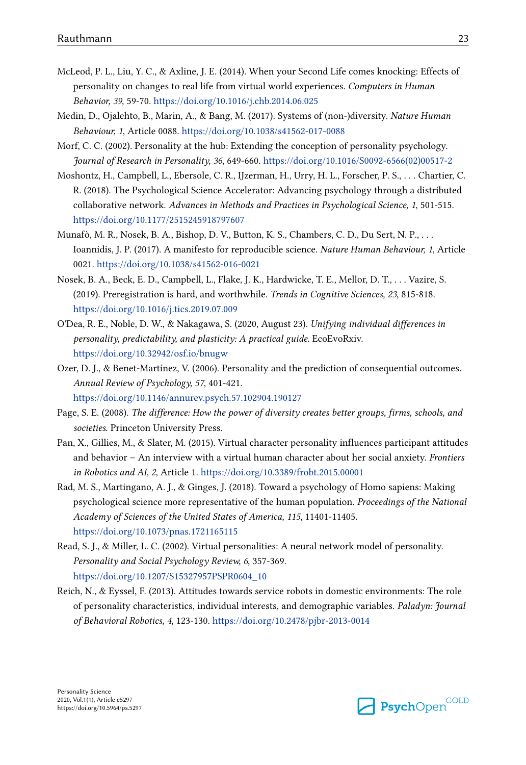- <span id="page-22-0"></span>McLeod, P. L., Liu, Y. C., & Axline, J. E. (2014). When your Second Life comes knocking: Effects of personality on changes to real life from virtual world experiences. *Computers in Human Behavior, 39*, 59-70. <https://doi.org/10.1016/j.chb.2014.06.025>
- Medin, D., Ojalehto, B., Marin, A., & Bang, M. (2017). Systems of (non-)diversity. *Nature Human Behaviour, 1*, Article 0088. <https://doi.org/10.1038/s41562-017-0088>
- Morf, C. C. (2002). Personality at the hub: Extending the conception of personality psychology. *Journal of Research in Personality, 36*, 649-660. [https://doi.org/10.1016/S0092-6566\(02\)00517-2](https://doi.org/10.1016/S0092-6566(02)00517-2)
- Moshontz, H., Campbell, L., Ebersole, C. R., IJzerman, H., Urry, H. L., Forscher, P. S., . . . Chartier, C. R. (2018). The Psychological Science Accelerator: Advancing psychology through a distributed collaborative network. *Advances in Methods and Practices in Psychological Science, 1*, 501-515. <https://doi.org/10.1177/2515245918797607>
- Munafò, M. R., Nosek, B. A., Bishop, D. V., Button, K. S., Chambers, C. D., Du Sert, N. P., . . . Ioannidis, J. P. (2017). A manifesto for reproducible science. *Nature Human Behaviour, 1*, Article 0021.<https://doi.org/10.1038/s41562-016-0021>
- Nosek, B. A., Beck, E. D., Campbell, L., Flake, J. K., Hardwicke, T. E., Mellor, D. T., . . . Vazire, S. (2019). Preregistration is hard, and worthwhile. *Trends in Cognitive Sciences, 23*, 815-818. <https://doi.org/10.1016/j.tics.2019.07.009>
- O'Dea, R. E., Noble, D. W., & Nakagawa, S. (2020, August 23). *Unifying individual differences in personality, predictability, and plasticity: A practical guide.* EcoEvoRxiv. <https://doi.org/10.32942/osf.io/bnugw>
- Ozer, D. J., & Benet-Martínez, V. (2006). Personality and the prediction of consequential outcomes. *Annual Review of Psychology, 57*, 401-421.

<https://doi.org/10.1146/annurev.psych.57.102904.190127>

- Page, S. E. (2008). *The difference: How the power of diversity creates better groups, firms, schools, and societies*. Princeton University Press.
- Pan, X., Gillies, M., & Slater, M. (2015). Virtual character personality influences participant attitudes and behavior – An interview with a virtual human character about her social anxiety. *Frontiers in Robotics and AI, 2*, Article 1. <https://doi.org/10.3389/frobt.2015.00001>
- Rad, M. S., Martingano, A. J., & Ginges, J. (2018). Toward a psychology of Homo sapiens: Making psychological science more representative of the human population. *Proceedings of the National Academy of Sciences of the United States of America, 115*, 11401-11405. <https://doi.org/10.1073/pnas.1721165115>
- Read, S. J., & Miller, L. C. (2002). Virtual personalities: A neural network model of personality. *Personality and Social Psychology Review, 6*, 357-369. [https://doi.org/10.1207/S15327957PSPR0604\\_10](https://doi.org/10.1207/S15327957PSPR0604_10)
- Reich, N., & Eyssel, F. (2013). Attitudes towards service robots in domestic environments: The role of personality characteristics, individual interests, and demographic variables. *Paladyn: Journal of Behavioral Robotics, 4*, 123-130.<https://doi.org/10.2478/pjbr-2013-0014>

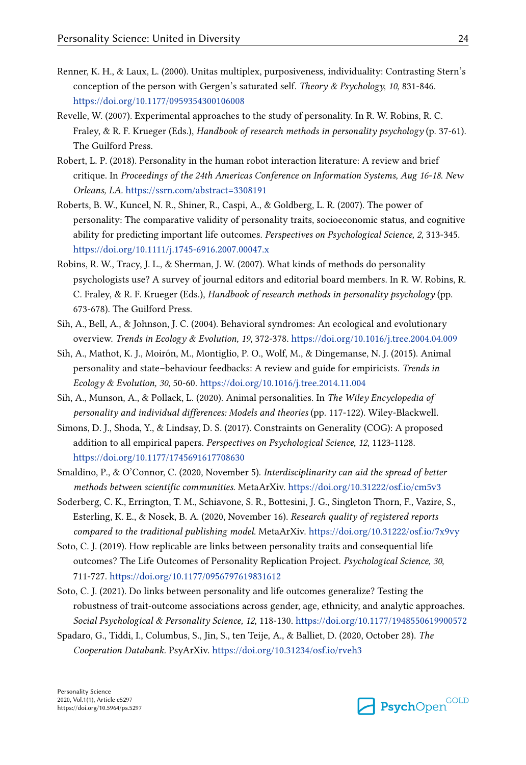- <span id="page-23-0"></span>Renner, K. H., & Laux, L. (2000). Unitas multiplex, purposiveness, individuality: Contrasting Stern's conception of the person with Gergen's saturated self. *Theory & Psychology, 10*, 831-846. <https://doi.org/10.1177/0959354300106008>
- Revelle, W. (2007). Experimental approaches to the study of personality. In R. W. Robins, R. C. Fraley, & R. F. Krueger (Eds.), *Handbook of research methods in personality psychology* (p. 37-61). The Guilford Press.
- Robert, L. P. (2018). Personality in the human robot interaction literature: A review and brief critique. In *Proceedings of the 24th Americas Conference on Information Systems, Aug 16-18. New Orleans, LA.* <https://ssrn.com/abstract=3308191>
- Roberts, B. W., Kuncel, N. R., Shiner, R., Caspi, A., & Goldberg, L. R. (2007). The power of personality: The comparative validity of personality traits, socioeconomic status, and cognitive ability for predicting important life outcomes. *Perspectives on Psychological Science, 2*, 313-345. <https://doi.org/10.1111/j.1745-6916.2007.00047.x>
- Robins, R. W., Tracy, J. L., & Sherman, J. W. (2007). What kinds of methods do personality psychologists use? A survey of journal editors and editorial board members. In R. W. Robins, R. C. Fraley, & R. F. Krueger (Eds.), *Handbook of research methods in personality psychology* (pp. 673-678). The Guilford Press.
- Sih, A., Bell, A., & Johnson, J. C. (2004). Behavioral syndromes: An ecological and evolutionary overview. *Trends in Ecology & Evolution, 19*, 372-378.<https://doi.org/10.1016/j.tree.2004.04.009>
- Sih, A., Mathot, K. J., Moirón, M., Montiglio, P. O., Wolf, M., & Dingemanse, N. J. (2015). Animal personality and state–behaviour feedbacks: A review and guide for empiricists. *Trends in Ecology & Evolution, 30*, 50-60. <https://doi.org/10.1016/j.tree.2014.11.004>
- Sih, A., Munson, A., & Pollack, L. (2020). Animal personalities. In *The Wiley Encyclopedia of personality and individual differences: Models and theories* (pp. 117-122). Wiley-Blackwell.
- Simons, D. J., Shoda, Y., & Lindsay, D. S. (2017). Constraints on Generality (COG): A proposed addition to all empirical papers. *Perspectives on Psychological Science, 12*, 1123-1128. <https://doi.org/10.1177/1745691617708630>
- Smaldino, P., & O'Connor, C. (2020, November 5). *Interdisciplinarity can aid the spread of better methods between scientific communities.* MetaArXiv.<https://doi.org/10.31222/osf.io/cm5v3>
- Soderberg, C. K., Errington, T. M., Schiavone, S. R., Bottesini, J. G., Singleton Thorn, F., Vazire, S., Esterling, K. E., & Nosek, B. A. (2020, November 16). *Research quality of registered reports compared to the traditional publishing model.* MetaArXiv. <https://doi.org/10.31222/osf.io/7x9vy>
- Soto, C. J. (2019). How replicable are links between personality traits and consequential life outcomes? The Life Outcomes of Personality Replication Project. *Psychological Science, 30*, 711-727. <https://doi.org/10.1177/0956797619831612>
- Soto, C. J. (2021). Do links between personality and life outcomes generalize? Testing the robustness of trait-outcome associations across gender, age, ethnicity, and analytic approaches. *Social Psychological & Personality Science, 12*, 118-130.<https://doi.org/10.1177/1948550619900572>
- Spadaro, G., Tiddi, I., Columbus, S., Jin, S., ten Teije, A., & Balliet, D. (2020, October 28). *The Cooperation Databank.* PsyArXiv. <https://doi.org/10.31234/osf.io/rveh3>